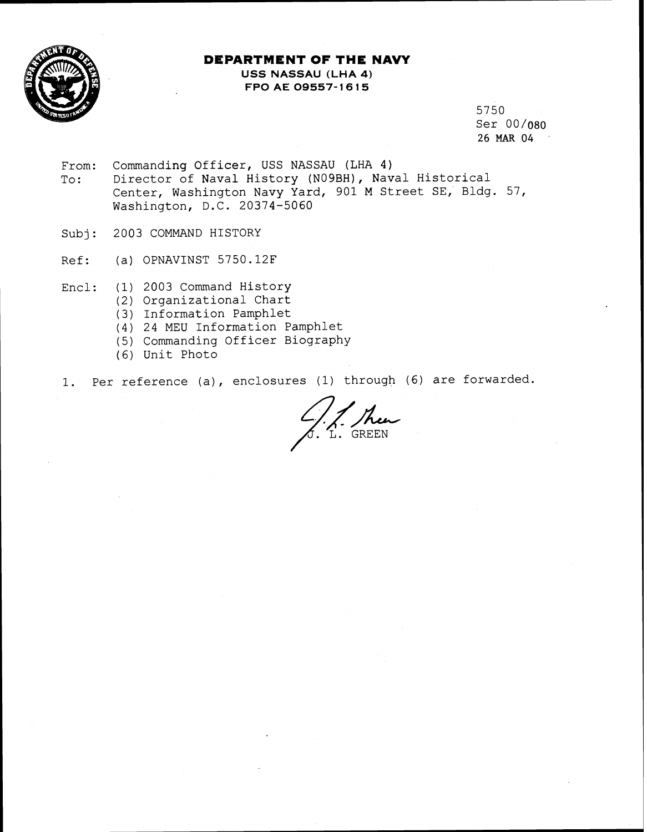

## **DEPARTMENT OF THE NAVY USS NASSAU (LHA 4) FPO AE 09557- 16 15**

5750 Ser 00/080 26 MAR 04

- From: Commanding Officer, USS NASSAU (LHA 4)<br>To: Director of Naval History (N09BH), Nav Director of Naval History (NO9BH), Naval Historical Center, Washington Navy Yard, 901 M Street SE, Bldg. 57, Washington, D.C. 20374-5060
- Subj: 2003 COMMAND HISTORY
- Ref: (a) OPNAVINST 5750.12F
- Encl: (1) 2003 Command History
	- (2) Organizational Chart
	- (3) Information Pamphlet
	- (4) 24 MEU Information Pamphlet
	- (5) Commanding Officer Biography
	- (6) Unit Photo
- 1. Per reference (a), enclosures (1) through (6) are forwarded.<br> $\frac{1}{\sqrt{2\pi}}\int_{\text{L}}$ . GREEN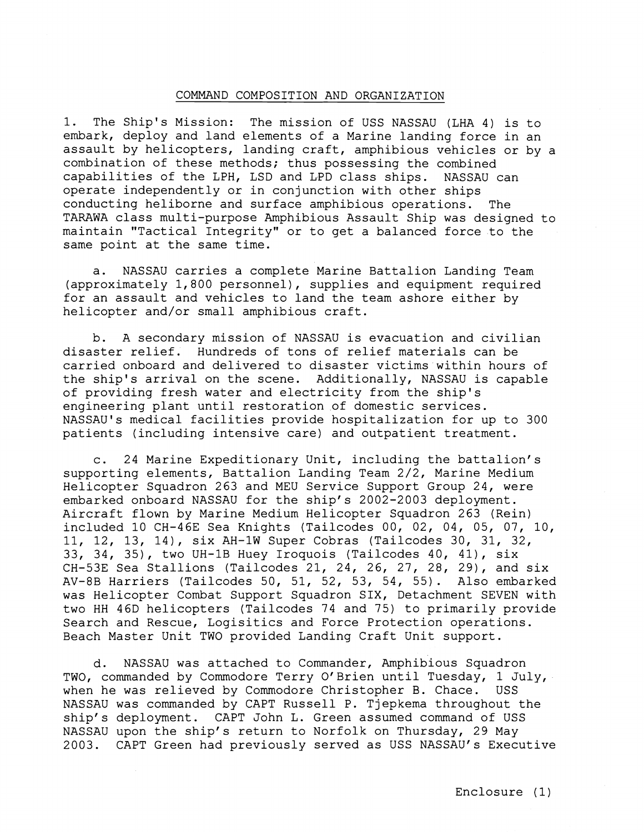## COMMAND COMPOSITION AND ORGANIZATION

1. The Ship's Mission: The mission of USS NASSAU (LHA 4) is to embark, deploy and land elements of a Marine landing force in an assault by helicopters, landing craft, amphibious vehicles or by a combination of these methods; thus possessing the combined capabilities of the LPH, LSD and LPD class ships. NASSAU can operate independently or in conjunction with other ships conducting heliborne and surface amphibious operations. The TARAWA class multi-purpose Amphibious Assault Ship was designed to maintain "Tactical Integrity" or to get a balanced force to the same point at the same time.

a. NASSAU carries a complete Marine Battalion Landing Team (approximately 1,800 personnel), supplies and equipment required for an assault and vehicles to land the team ashore either by helicopter and/or small amphibious craft.

b. A secondary mission of NASSAU is evacuation and civilian disaster relief. Hundreds of tons of relief materials can be carried onboard and delivered to disaster victims within hours of the ship's arrival on the scene. Additionally, NASSAU is capable of providing fresh water and electricity from the ship's engineering plant until restoration of domestic services. NASSAU'S medical facilities provide hospitalization for up to 300 patients (including intensive care) and outpatient treatment.

c. 24 Marine Expeditionary Unit, including the battalion's supporting elements, Battalion Landing Team  $2/\overline{2}$ , Marine Medium Helicopter Squadron 263 and MEU Service Support Group 24, were embarked onboard NASSAU for the ship's 2002-2003 deployment. Aircraft flown by Marine Medium Helicopter Squadron 263 (Rein) included 10 CH-46E Sea Knights (Tailcodes 00, 02, 04, 05, 07, 10, 11, 12, 13, 14), six AH-1W Super Cobras (Tailcodes 30, 31, 32, 33, 34, 35), two UH-1B Huey Iroquois (Tailcodes 40, 41), six CH-53E Sea Stallions (Tailcodes 21, 24, 26, 27, 28, 29), and six AV-8B Harriers (Tailcodes 50, 51, 52, 53, 54, 55). Also embarked was Helicopter Combat Support Squadron SIX, Detachment SEVEN with two HH 46D helicopters (Tailcodes 74 and 75) to primarily provide Search and Rescue, Logisitics and Force Protection operations. Beach Master Unit TWO provided Landing Craft Unit support.

d. NASSAU was attached to Commander, Amphibious Squadron TWO, commanded by Commodore Terry O'Brien until Tuesday, 1 July, when he was relieved by Commodore Christopher B. Chace. USS NASSAU was commanded by CAPT Russell P. Tjepkema throughout the ship's deployment. CAPT John L. Green assumed command of USS NASSAU upon the ship's return to Norfolk on Thursday, 29 May 2003. CAPT Green had previously served as USS NASSAU'S Executive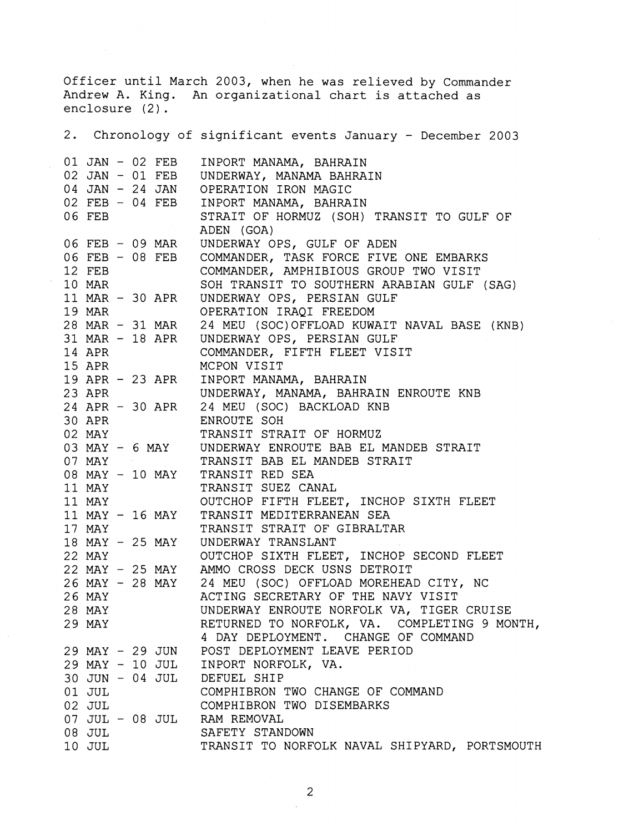Officer until March 2003, when he was relieved by Commander Andrew A. King. An organizational chart is attached as enclosure (2).

2. Chronology of significant events January - December 2003 01 JAN - 02 FEB 02 JAN - 01 FEB 04 JAN - 24 JAN 02 FEB - 04 FEB 06 FEB 06 FEB - 09 MAR 06 FEB - 08 FEB 12 FEB 10 MAR 11 MAR - 30 APR 19 MAR 28 MAR - 31 MAR 31 MAR - 18 APR 14 APR 15 APR 19 APR - 23 APR 23 APR 24 APR - 30 APR 30 APR 02 MAY 03 MAY - 6 MAY 07 MAY 08 MAY - 10 MAY 11 MAY 11 MAY 11 MAY - 16 MAY 17 MAY 18 MAY - 25 MAY 22 MAY 22 MAY - 25 MAY 26 MAY - 28 MAY 26 MAY 28 MAY 29 MAY 29 MAY - 29 JUN 29 MAY - 10 JUL 30 JUN - 04 JUL 01 JUL 02 JUL 07 JUL - 08 JUL 08 JUL 10 JUL INPORT MANAMA, BAHRAIN UNDERWAY, MANAMA BAHRAIN OPERATION IRON MAGIC INPORT MANAMA, BAHRAIN STRAIT OF HORMUZ (SOH) TRANSIT TO GULF OF ADEN (GOA) UNDERWAY OPS, GULF OF ADEN COMMANDER, TASK FORCE FIVE ONE EMBARKS COMMANDER, AMPHIBIOUS GROUP TWO VISIT SOH TRANSIT TO SOUTHERN ARABIAN GULF (SAG) UNDERWAY OPS, PERSIAN GULF OPERATION IRAQI FREEDOM 24 MEU (S0C)OFFLOAD KUWAIT NAVAL BASE (KNB) UNDERWAY OPS, PERSIAN GULF COMMANDER, FIFTH FLEET VISIT MCPON VISIT INPORT MANAMA, BAHRAIN UNDERWAY, MANAMA, BAHRAIN ENROUTE KNB 24 MEU (SOC) BACKLOAD KNB ENROUTE SOH TRANSIT STRAIT OF HORMUZ UNDERWAY ENROUTE BAB EL MANDEB STRAIT TRANSIT BAB EL MANDEB STRAIT TRANSIT RED SEA TRANSIT SUEZ CANAL OUTCHOP FIFTH FLEET, INCHOP SIXTH FLEET TRANSIT MEDITERRANEAN SEA TRANSIT STRAIT OF GIBRALTAR UNDERWAY TRANSLANT OUTCHOP SIXTH FLEET, INCHOP SECOND FLEET AMMO CROSS DECK USNS DETROIT 24 MEU (SOC) OFFLOAD MOREHEAD CITY, NC ACTING SECRETARY OF THE NAVY VISIT UNDERWAY ENROUTE NORFOLK VA, TIGER CRUISE RETURNED TO NORFOLK, VA. COMPLETING 9 MONTH, 4 DAY DEPLOYMENT. CHANGE OF COMMAND POST DEPLOYMENT LEAVE PERIOD INPORT NORFOLK, VA. DEFUEL SHIP COMPHIBRON TWO CHANGE OF COMMAND COMPHIBRON TWO DISEMBARKS RAM REMOVAL SAFETY STANDOWN TRANSIT TO NORFOLK NAVAL SHIPYARD, PORTSMOUTH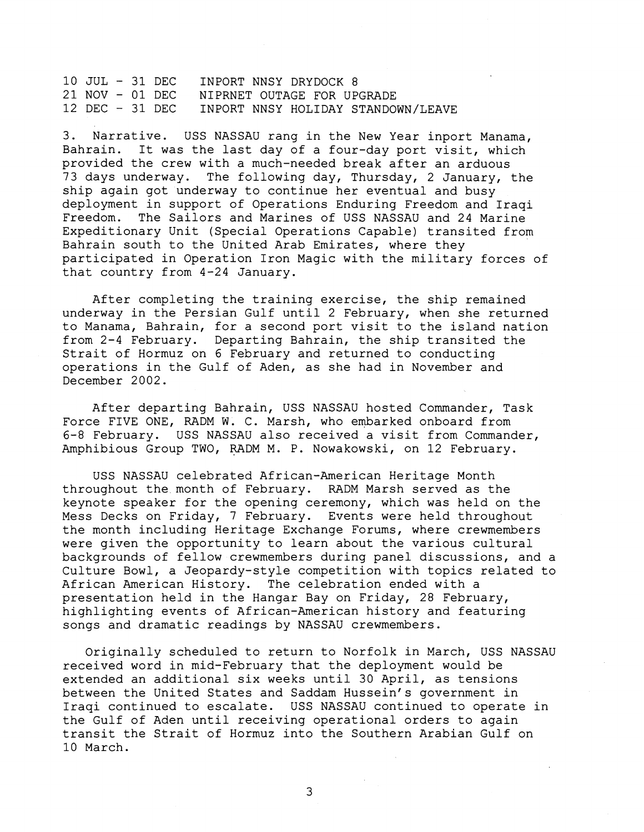10 JUL - 31 DEC INPORT NNSY DRYDOCK 8<br>21 NOV - 01 DEC NIPRNET OUTAGE FOR UP 21 NOV - 01 DEC NIPRNET OUTAGE FOR UPGRADE<br>12 DEC - 31 DEC INPORT NNSY HOLIDAY STANDO INPORT NNSY HOLIDAY STANDOWN/LEAVE

3. Narrative. USS NASSAU rang in the New Year inport Manama, Bahrain. It was the last day of a four-day port visit, which provided the crew with a much-needed break after an arduous 73 days underway. The following day, Thursday, 2 January, the ship again got underway to continue her eventual and busy deployment in support of Operations Enduring Freedom and Iraqi Freedom. The Sailors and Marines of USS NASSAU and 24 Marine Expeditionary Unit (Special Operations Capable) transited from Bahrain south to the United Arab Emirates, where they participated in Operation Iron Magic with the military forces of that country from 4-24 January.

After completing the training exercise, the ship remained underway in the Persian Gulf until 2 February, when she returned to Manama, Bahrain, for a second port visit to the island nation from 2-4 February. Departing Bahrain, the ship transited the Strait of Hormuz on 6 February and returned to conducting operations in the Gulf of Aden, as she had in November and December 2002.

After departing Bahrain, USS NASSAU hosted Commander, Task Force FIVE ONE, RADM W. C. Marsh, who embarked onboard from 6-8 February. USS NASSAU also received a visit from Commander, Amphibious Group TWO, RADM M. P. Nowakowski, on 12 February.

USS NASSAU celebrated African-American Heritage Month throughout the month of February. RADM Marsh served as the keynote speaker for the opening ceremony, which was held on the Mess Decks on Friday, 7 February. Events were held throughout the month including Heritage Exchange Forums, where crewmembers were given the opportunity to learn about the various cultural backgrounds of fellow crewmembers during panel discussions, and a Culture Bowl, a Jeopardy-style competition with topics related to African American History. The celebration ended with a presentation held in the Hangar Bay on Friday, 28 February, highlighting events of African-American history and featuring songs and dramatic readings by NASSAU crewmembers.

Originally scheduled to return to Norfolk in March, USS NASSAU received word in mid-February that the deployment would be extended an additional six weeks until 30 April, as tensions between the United States and Saddam Hussein's government in Iraqi continued to escalate. USS NASSAU continued to operate in the Gulf of Aden until receiving operational orders to again transit the Strait of Hormuz into the Southern Arabian Gulf on 10 March.

3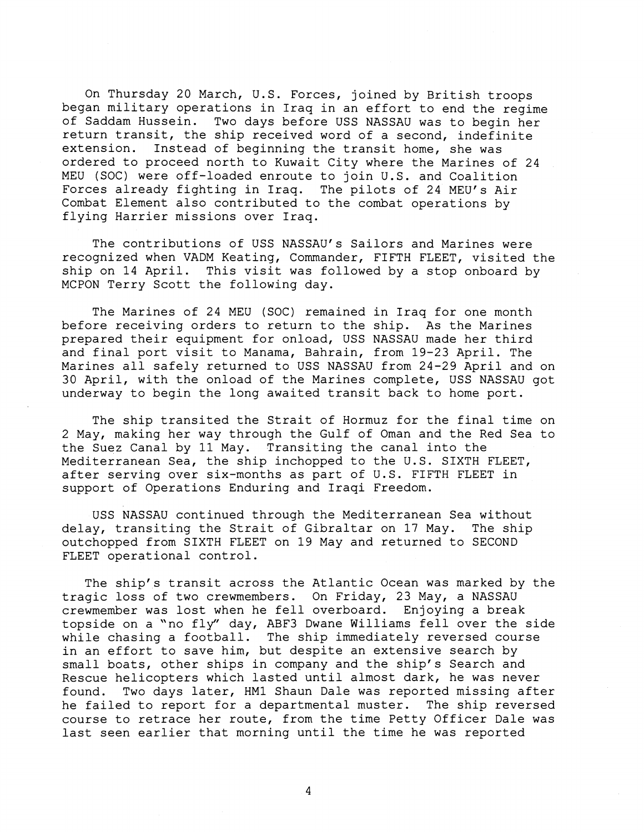On Thursday 20 March, U.S. Forces, joined by British troops began military operations in Iraq in an effort to end the regime of Saddam Hussein. Two days before USS NASSAU was to begin her return transit, the ship received word of a second, indefinite extension. Instead of beginning the transit home, she was ordered to proceed north to Kuwait City where the Marines of 24 MEU (SOC) were off-loaded enroute to join U.S. and Coalition Forces already fighting in Iraq. The pilots of 24 MEU's Air Combat Element also contributed to the combat operations by flying Harrier missions over Iraq.

The contributions of USS NASSAU'S Sailors and Marines were recognized when VADM Keating, Commander, FIFTH FLEET, visited the ship on 14 April. This visit was followed by a stop onboard by MCPON Terry Scott the following day.

The Marines of 24 MEU (SOC) remained in Iraq for one month before receiving orders to return to the ship. As the Marines prepared their equipment for onload, USS NASSAU made her third and final port visit to Manama, Bahrain, from 19-23 April. The Marines all safely returned to USS NASSAU from 24-29 April and on 30 April, with the onload of the Marines complete, USS NASSAU got underway to begin the long awaited transit back to home port.

The ship transited the Strait of Hormuz for the final time on 2 May, making her way through the Gulf of Oman and the Red Sea to the Suez Canal by 11 May. Transiting the canal into the Mediterranean Sea, the ship inchopped to the U.S. SIXTH FLEET, after serving over six-months as part of U.S. FIFTH FLEET in support of Operations Enduring and Iraqi Freedom.

USS NASSAU continued through the Mediterranean Sea without delay, transiting the Strait of Gibraltar on 17 May. The ship outchopped from SIXTH FLEET on 19 May and returned to SECOND FLEET operational control.

The ship's transit across the Atlantic Ocean was marked by the tragic loss of two crewmembers. On Friday, 23 May, a NASSAU crewmember was lost when he fell overboard. Enjoying a break topside on a "no fly" day, ABF3 Dwane Williams fell over the side while chasing a football. The ship immediately reversed course in an effort to save him, but despite an extensive search by small boats, other ships in company and the ship's Search and Rescue helicopters which lasted until almost dark, he was never found. Two days later, HM1 Shaun Dale was reported missing after he failed to report for a departmental muster. The ship reversed course to retrace her route, from the time Petty Officer Dale was last seen earlier that morning until the time he was reported

 $\overline{4}$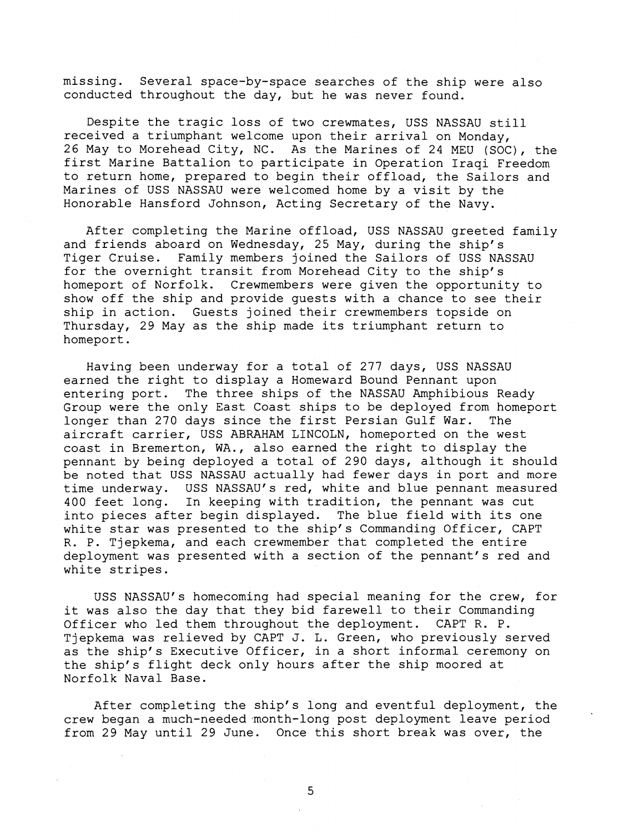missing. Several space-by-space searches of the ship were also conducted throughout the day, but he was never found.

Despite the tragic loss of two crewmates, USS NASSAU still received a triumphant welcome upon their arrival on Monday, 26 May to Morehead City, NC. As the Marines of 24 MEU (SOC), the first Marine Battalion to participate in Operation Iraqi Freedom to return home, prepared to begin their offload, the Sailors and Marines of USS NASSAU were welcomed home by a visit by the Honorable Hansford Johnson, Acting Secretary of the Navy.

After completing the Marine offload, USS NASSAU greeted family and friends aboard on Wednesday, 25 May, during the ship's Tiger Cruise. Family members joined the Sailors of USS NASSAU for the overnight transit from Morehead City to the ship's homeport of Norfolk. Crewmembers were given the opportunity to show off the ship and provide guests with a chance to see their ship in action. Guests joined their crewmembers topside on Thursday, 29 May as the ship made its triumphant return to homeport.

Having been underway for a total of 277 days, USS NASSAU earned the right to display a Homeward Bound Pennant upon entering port. The three ships of the NASSAU Amphibious Ready Group were the only East Coast ships to be deployed from homeport longer than 270 days since the first Persian Gulf War. The aircraft carrier, USS ABRAHAM LINCOLN, homeported on the west coast in Bremerton, WA., also earned the right to display the pennant by being deployed a total of 290 days, although it should be noted that USS NASSAU actually had fewer days in port and more time underway. USS NASSAU'S red, white and blue pennant measured 400 feet long. In keeping with tradition, the pennant was cut into pieces after begin displayed. The blue field with its one white star was presented to the ship's Commanding Officer, CAPT R. P. Tjepkema, and each crewmember that completed the entire deployment was presented with a section of the pennant's red and white stripes.

USS NASSAU'S homecoming had special meaning for the crew, for it was also the day that they bid farewell to their Commanding Officer who led them throughout the deployment. CAPT R. P. Tjepkema was relieved by CAPT J. L. Green, who previously served as the ship's Executive Officer, in a short informal ceremony on the ship's flight deck only hours after the ship moored at Norfolk Naval Base.

After completing the ship's long and eventful deployment, the crew began a much-needed month-long post deployment leave period from 29 May until 29 June. Once this short break was over, the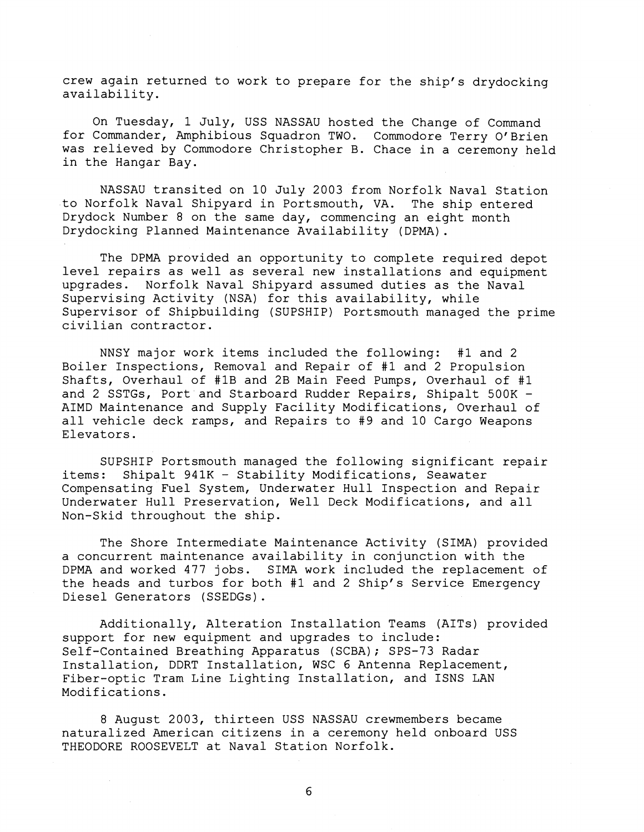crew again returned to work to prepare for the ship's drydocking availability.

On Tuesday, 1 July, USS NASSAU hosted the Change of Command for Commander, Amphibious Squadron TWO. Commodore Terry O'Brien was relieved by Commodore Christopher B. Chace in a ceremony held in the Hangar Bay.

NASSAU transited on 10 July 2003 from Norfolk Naval Station to Norfolk Naval Shipyard in Portsmouth, VA. The ship entered Drydock Number 8 on the same day, commencing an eight month Drydocking Planned Maintenance Availability (DPMA).

The DPMA provided an opportunity to complete required depot level repairs as well as several new installations and equipment upgrades. Norfolk Naval Shipyard assumed duties as the Naval Supervising Activity (NSA) for this availability, while Supervisor of Shipbuilding (SUPSHIP) Portsmouth managed the prime civilian contractor.

NNSY major work items included the following: #1 and 2 Boiler Inspections, Removal and Repair of #1 and 2 Propulsion Shafts, Overhaul of #1B and 2B Main Feed Pumps, Overhaul of #1 and 2 SSTGs, Port and Starboard Rudder Repairs, Shipalt 500K -AIMD Maintenance and Supply Facility Modifications, Overhaul of all vehicle deck ramps, and Repairs to #9 and 10 Cargo Weapons Elevators.

SUPSHIP Portsmouth managed the following significant repair items: Shipalt 941K - Stability Modifications, Seawater Compensating Fuel System, Underwater Hull Inspection and Repair Underwater Hull Preservation, Well Deck Modifications, and all Non-Skid throughout the ship.

The Shore Intermediate Maintenance Activity (SIMA) provided a concurrent maintenance availability in conjunction with the DPMA and worked 477 jobs. SIMA work included the replacement of the heads and turbos for both #1 and 2 Ship's Service Emergency Diesel Generators (SSEDGs).

Additionally, Alteration Installation Teams (AITs) provided support for new equipment and upgrades to include: Self-Contained Breathing Apparatus (SCBA); SPS-73 Radar Installation, DDRT Installation, WSC 6 Antenna Replacement, Fiber-optic Tram Line Lighting Installation, and ISNS LAN Modifications.

8 August 2003, thirteen USS NASSAU crewmembers became naturalized American citizens in a ceremony held onboard USS THEODORE ROOSEVELT at Naval Station Norfolk.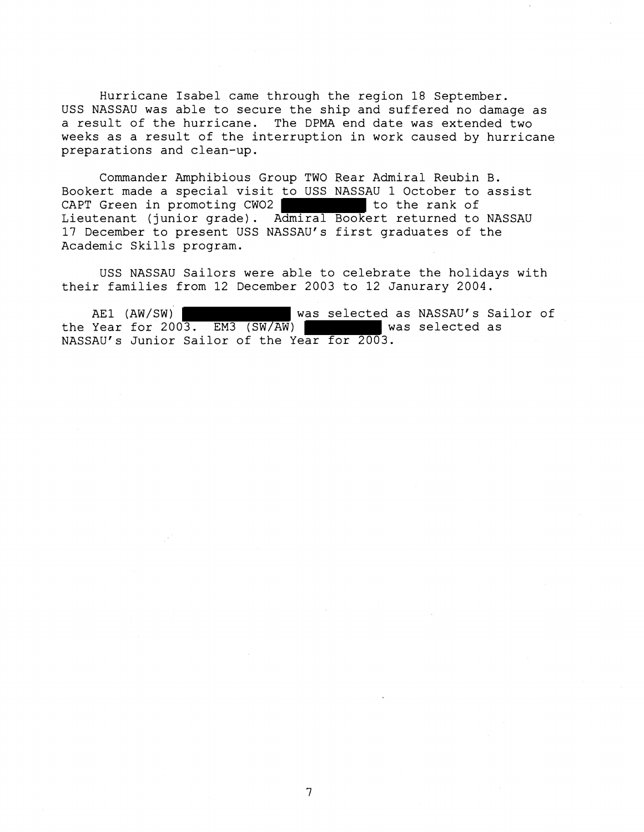Hurricane Isabel came through the region 18 September. USS NASSAU was able to secure the ship and suffered no damage as a result of the hurricane. The DPMA end date was extended two weeks as a result of the interruption in work caused by hurricane preparations and clean-up.

Commander Amphibious Group TWO Rear Admiral Reubin B. Bookert made a special visit to USS NASSAU 1 October to assist CAPT Green in promoting  $CWO2$  to the rank of Lieutenant (junior grade). Admiral Bookert returned to NASSAU 17 December to present USS NASSAU'S first graduates of the Academic Skills program.

USS NASSAU Sailors were able to celebrate the holidays with their families from 12 December 2003 to 12 Janurary 2004.

AE1 (AW/SW) <br>Year for 2003. EM3 (SW/AW) vas selected as NASSAU's Sailor of the Year for  $2003$ . EM3  $(SW/AW)$ NASSAU'S Junior Sailor of the Year for 2003.